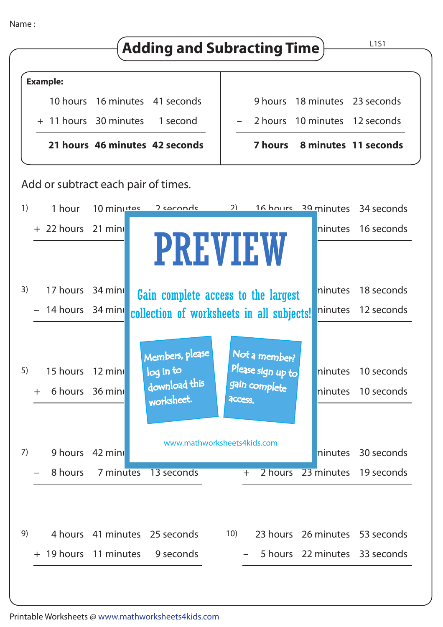